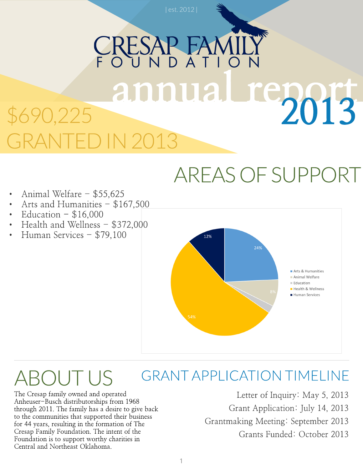## **RESAPT** annual report 2013 0,225 013

### AREASOFSUPPORT

- Animal Welfare \$55,625
- Arts and Humanities \$167,500
- Education  $-$  \$16,000
- Health and Wellness \$372,000
- Human Services \$79,100



#### GRANTAPPLICATION TIMELINE **ROUTUS**

The Cresap family owned and operated Anheuser-Busch distributorships from 1968 through 2011. The family has a desire to give back to the communities that supported their business for 44 years, resulting in the formation of The Cresap Family Foundation. The intent of the Foundation is to support worthy charities in Central and Northeast Oklahoma.

Letter of Inquiry: May 5, 2013 Grant Application: July 14, 2013 Grantmaking Meeting: September 2013 Grants Funded: October 2013